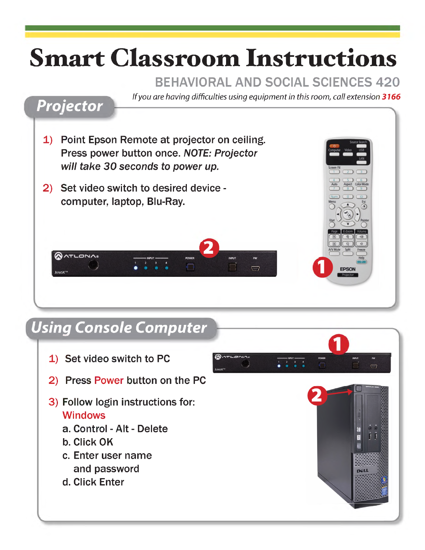# **Smart Classroom Instructions**

### BEHAVIORAL AND SOCIAL SCIENCES 420

*If you are having difficulties using equipment in this room, call extension 3166*



- 1) Point Epson Remote at projector on ceiling. Press power button once. *NOTE: Projector will take 30 seconds to power up.*
- 2) Set video switch to desired device computer, laptop, Blu-Ray.





# *Using Console Computer*

- 1) Set video switch to PC
- 2) Press Power button on the PC
- 3) Follow login instructions for: **Windows** 
	- a. Control Alt Delete
	- b. Click OK
	- c. Enter user name and password
	- d. Click Enter

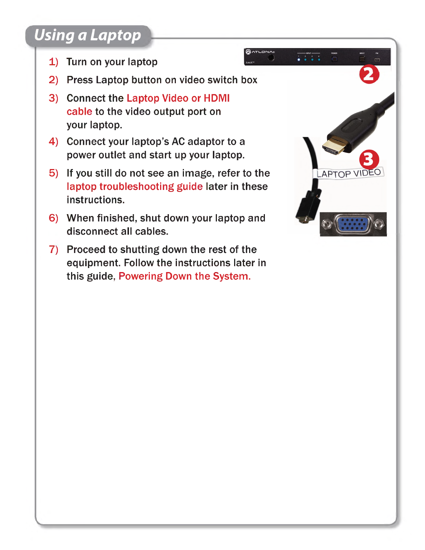# *Using a Laptop*

- 1) Turn on your laptop
- 2) Press Laptop button on video switch box
- 3) Connect the Laptop Video or HDMI cable to the video output port on your laptop.
- 4) Connect your laptop's AC adaptor to a power outlet and start up your laptop.
- 5) If you still do not see an image, refer to the laptop troubleshooting guide later in these instructions.
- 6) When finished, shut down your laptop and disconnect all cables.
- 7) Proceed to shutting down the rest of the equipment. Follow the instructions later in this guide, Powering Down the System.



**AATLONA**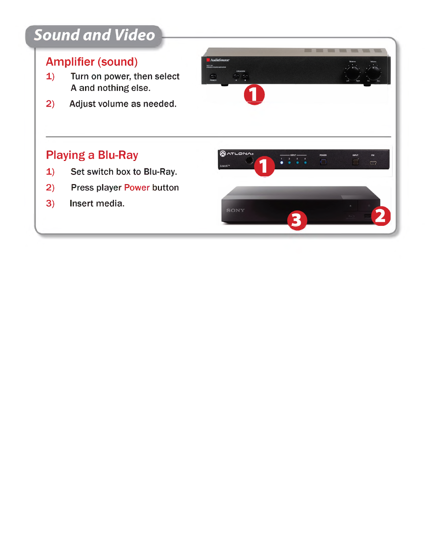#### Amplifier (sound)

**Sound and Video**<br> **Amplifier (sound)**<br> **1)** Turn on power, then select<br> **A** and nothing else. A and nothing else. 1) Turn on power, then select<br>A and nothing else.<br>2) Adjust volume as needed.

 $\circ$ 

**QATLONA®** 

SONY

 $\blacksquare$ 

1

 $\begin{array}{c|c|c|c|c} \hline \text{...} & \text{...} \\ \hline \text{...} & \text{...} \\ \hline \text{...} & \text{...} \end{array}$ 

3

INPUT

 $\sim$ 

 $\Box$ 

#### Playing a Blu-Ray

- **1) Set switch box to Blu-Ray.**<br> **1)** Set switch box to Blu-Ray.<br> **1)** Press player Power button **Playing a Blu-Ray<br>
1) Set switch box to Blu-Ray.<br>
2) Press player Power button**<br>
2) Insert media 1) Set switch box to Blu-Ray.<br>2) Press player Power button<br>3) Insert media.
- 
-